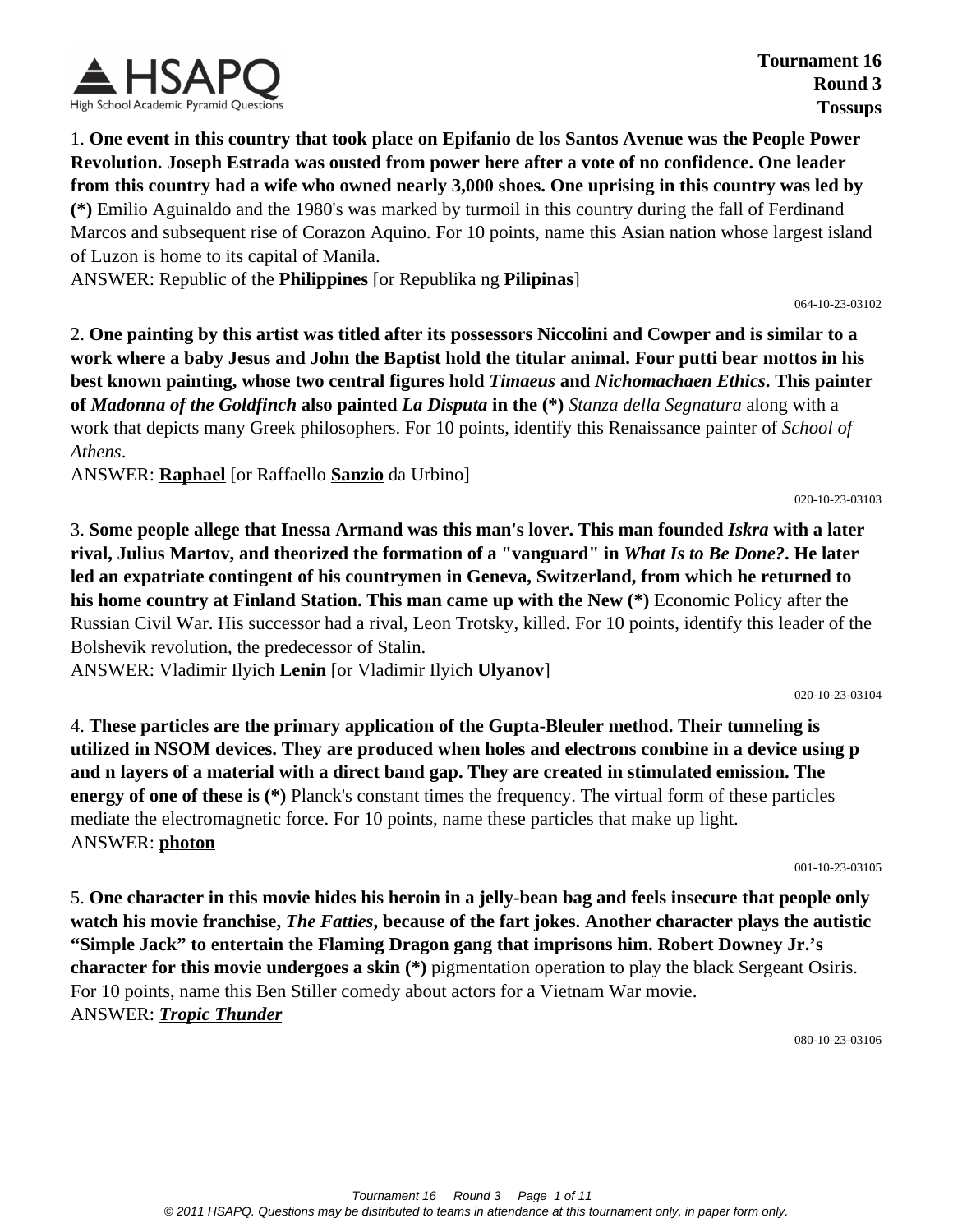

1. **One event in this country that took place on Epifanio de los Santos Avenue was the People Power Revolution. Joseph Estrada was ousted from power here after a vote of no confidence. One leader from this country had a wife who owned nearly 3,000 shoes. One uprising in this country was led by (\*)** Emilio Aguinaldo and the 1980's was marked by turmoil in this country during the fall of Ferdinand Marcos and subsequent rise of Corazon Aquino. For 10 points, name this Asian nation whose largest island of Luzon is home to its capital of Manila.

ANSWER: Republic of the **Philippines** [or Republika ng **Pilipinas**]

064-10-23-03102

020-10-23-03103

2. **One painting by this artist was titled after its possessors Niccolini and Cowper and is similar to a work where a baby Jesus and John the Baptist hold the titular animal. Four putti bear mottos in his best known painting, whose two central figures hold** *Timaeus* **and** *Nichomachaen Ethics***. This painter of** *Madonna of the Goldfinch* **also painted** *La Disputa* **in the (\*)** *Stanza della Segnatura* along with a work that depicts many Greek philosophers. For 10 points, identify this Renaissance painter of *School of Athens*.

ANSWER: **Raphael** [or Raffaello **Sanzio** da Urbino]

3. **Some people allege that Inessa Armand was this man's lover. This man founded** *Iskra* **with a later rival, Julius Martov, and theorized the formation of a "vanguard" in** *What Is to Be Done?***. He later led an expatriate contingent of his countrymen in Geneva, Switzerland, from which he returned to his home country at Finland Station. This man came up with the New (\*)** Economic Policy after the Russian Civil War. His successor had a rival, Leon Trotsky, killed. For 10 points, identify this leader of the Bolshevik revolution, the predecessor of Stalin.

ANSWER: Vladimir Ilyich **Lenin** [or Vladimir Ilyich **Ulyanov**]

020-10-23-03104

4. **These particles are the primary application of the Gupta-Bleuler method. Their tunneling is utilized in NSOM devices. They are produced when holes and electrons combine in a device using p and n layers of a material with a direct band gap. They are created in stimulated emission. The energy of one of these is (\*)** Planck's constant times the frequency. The virtual form of these particles mediate the electromagnetic force. For 10 points, name these particles that make up light. ANSWER: **photon**

001-10-23-03105

5. **One character in this movie hides his heroin in a jelly-bean bag and feels insecure that people only watch his movie franchise,** *The Fatties***, because of the fart jokes. Another character plays the autistic "Simple Jack" to entertain the Flaming Dragon gang that imprisons him. Robert Downey Jr.'s character for this movie undergoes a skin (\*)** pigmentation operation to play the black Sergeant Osiris. For 10 points, name this Ben Stiller comedy about actors for a Vietnam War movie. ANSWER: *Tropic Thunder*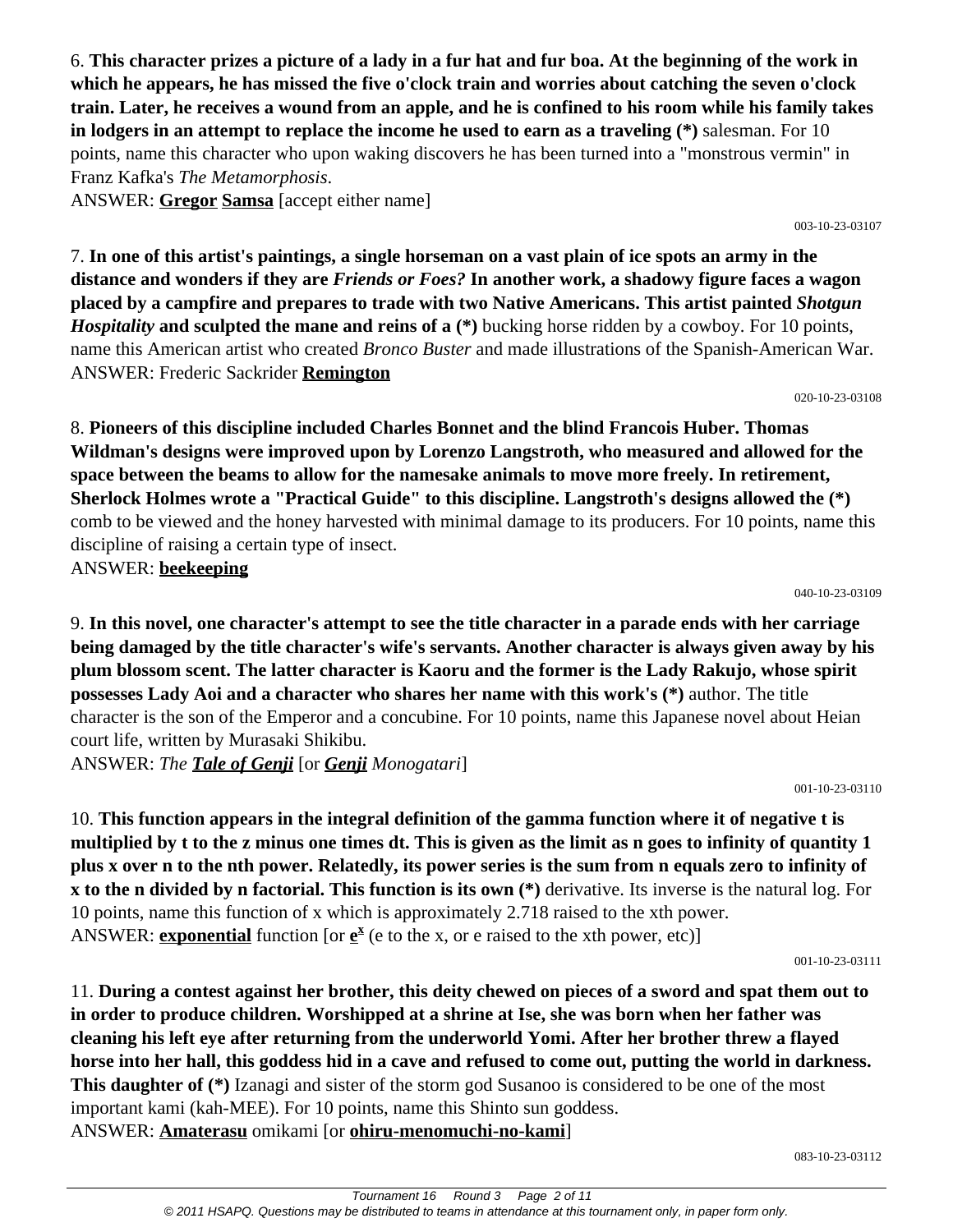6. **This character prizes a picture of a lady in a fur hat and fur boa. At the beginning of the work in which he appears, he has missed the five o'clock train and worries about catching the seven o'clock train. Later, he receives a wound from an apple, and he is confined to his room while his family takes in lodgers in an attempt to replace the income he used to earn as a traveling (\*)** salesman. For 10 points, name this character who upon waking discovers he has been turned into a "monstrous vermin" in Franz Kafka's *The Metamorphosis*.

ANSWER: **Gregor Samsa** [accept either name]

003-10-23-03107

7. **In one of this artist's paintings, a single horseman on a vast plain of ice spots an army in the distance and wonders if they are** *Friends or Foes?* **In another work, a shadowy figure faces a wagon placed by a campfire and prepares to trade with two Native Americans. This artist painted** *Shotgun Hospitality* **and sculpted the mane and reins of a (\*)** bucking horse ridden by a cowboy. For 10 points, name this American artist who created *Bronco Buster* and made illustrations of the Spanish-American War. ANSWER: Frederic Sackrider **Remington**

020-10-23-03108

8. **Pioneers of this discipline included Charles Bonnet and the blind Francois Huber. Thomas Wildman's designs were improved upon by Lorenzo Langstroth, who measured and allowed for the space between the beams to allow for the namesake animals to move more freely. In retirement, Sherlock Holmes wrote a "Practical Guide" to this discipline. Langstroth's designs allowed the (\*)** comb to be viewed and the honey harvested with minimal damage to its producers. For 10 points, name this discipline of raising a certain type of insect. ANSWER: **beekeeping**

040-10-23-03109

9. **In this novel, one character's attempt to see the title character in a parade ends with her carriage being damaged by the title character's wife's servants. Another character is always given away by his plum blossom scent. The latter character is Kaoru and the former is the Lady Rakujo, whose spirit possesses Lady Aoi and a character who shares her name with this work's (\*)** author. The title character is the son of the Emperor and a concubine. For 10 points, name this Japanese novel about Heian court life, written by Murasaki Shikibu.

ANSWER: *The Tale of Genji* [or *Genji Monogatari*]

001-10-23-03110

10. **This function appears in the integral definition of the gamma function where it of negative t is multiplied by t to the z minus one times dt. This is given as the limit as n goes to infinity of quantity 1 plus x over n to the nth power. Relatedly, its power series is the sum from n equals zero to infinity of x to the n divided by n factorial. This function is its own (\*)** derivative. Its inverse is the natural log. For 10 points, name this function of x which is approximately 2.718 raised to the xth power. ANSWER: **exponential** function [or  $\underline{e}^x$  (e to the x, or e raised to the xth power, etc)]

001-10-23-03111

11. **During a contest against her brother, this deity chewed on pieces of a sword and spat them out to in order to produce children. Worshipped at a shrine at Ise, she was born when her father was cleaning his left eye after returning from the underworld Yomi. After her brother threw a flayed horse into her hall, this goddess hid in a cave and refused to come out, putting the world in darkness. This daughter of (\*)** Izanagi and sister of the storm god Susanoo is considered to be one of the most important kami (kah-MEE). For 10 points, name this Shinto sun goddess. ANSWER: **Amaterasu** omikami [or **ohiru-menomuchi-no-kami**]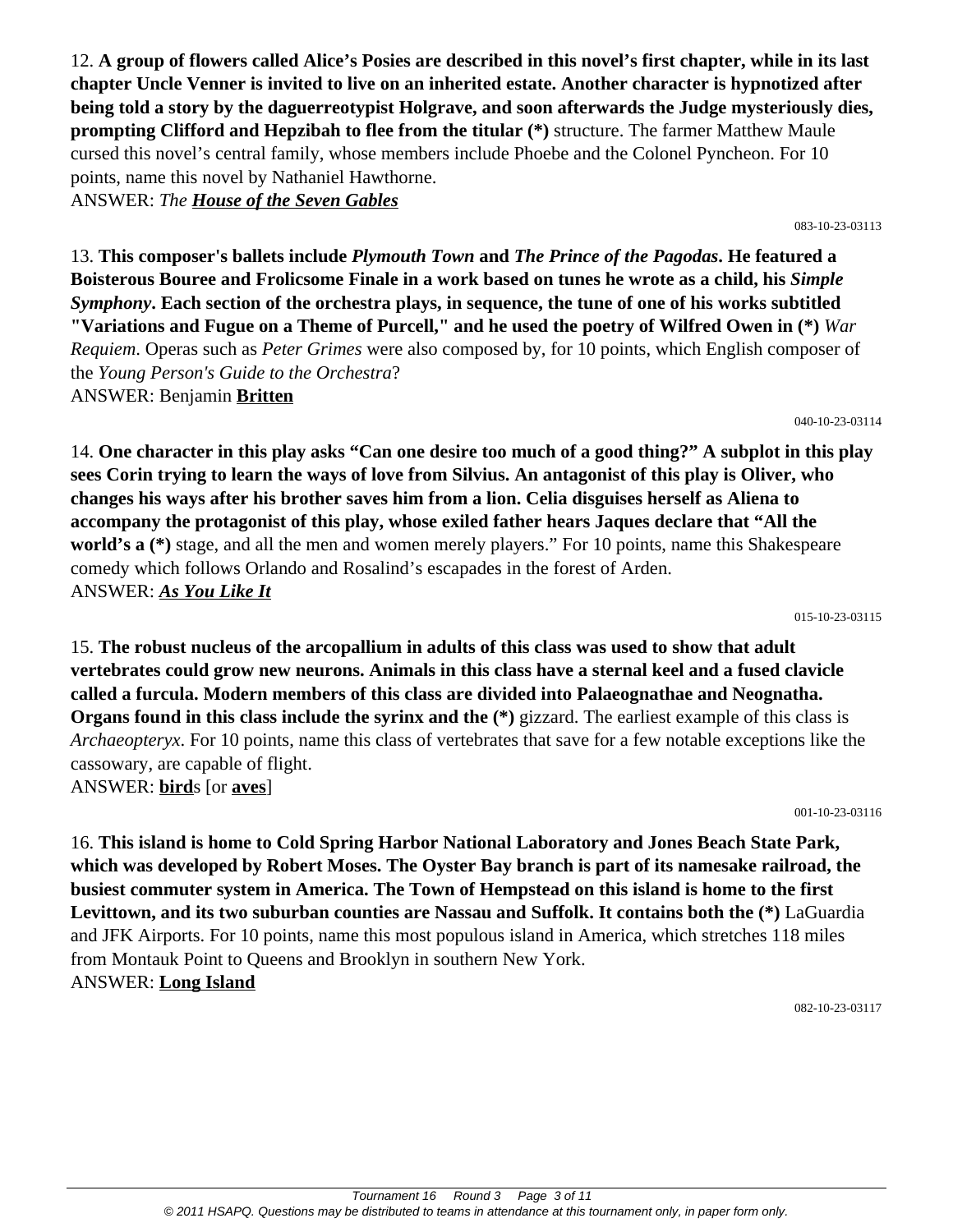12. **A group of flowers called Alice's Posies are described in this novel's first chapter, while in its last chapter Uncle Venner is invited to live on an inherited estate. Another character is hypnotized after being told a story by the daguerreotypist Holgrave, and soon afterwards the Judge mysteriously dies, prompting Clifford and Hepzibah to flee from the titular (\*)** structure. The farmer Matthew Maule cursed this novel's central family, whose members include Phoebe and the Colonel Pyncheon. For 10 points, name this novel by Nathaniel Hawthorne. ANSWER: *The House of the Seven Gables*

083-10-23-03113

13. **This composer's ballets include** *Plymouth Town* **and** *The Prince of the Pagodas***. He featured a Boisterous Bouree and Frolicsome Finale in a work based on tunes he wrote as a child, his** *Simple Symphony***. Each section of the orchestra plays, in sequence, the tune of one of his works subtitled "Variations and Fugue on a Theme of Purcell," and he used the poetry of Wilfred Owen in (\*)** *War Requiem*. Operas such as *Peter Grimes* were also composed by, for 10 points, which English composer of the *Young Person's Guide to the Orchestra*? ANSWER: Benjamin **Britten**

040-10-23-03114

14. **One character in this play asks "Can one desire too much of a good thing?" A subplot in this play sees Corin trying to learn the ways of love from Silvius. An antagonist of this play is Oliver, who changes his ways after his brother saves him from a lion. Celia disguises herself as Aliena to accompany the protagonist of this play, whose exiled father hears Jaques declare that "All the world's a** (\*) stage, and all the men and women merely players." For 10 points, name this Shakespeare comedy which follows Orlando and Rosalind's escapades in the forest of Arden. ANSWER: *As You Like It*

015-10-23-03115

15. **The robust nucleus of the arcopallium in adults of this class was used to show that adult vertebrates could grow new neurons. Animals in this class have a sternal keel and a fused clavicle called a furcula. Modern members of this class are divided into Palaeognathae and Neognatha. Organs found in this class include the syrinx and the (\*)** gizzard. The earliest example of this class is *Archaeopteryx*. For 10 points, name this class of vertebrates that save for a few notable exceptions like the cassowary, are capable of flight. ANSWER: **bird**s [or **aves**]

001-10-23-03116

16. **This island is home to Cold Spring Harbor National Laboratory and Jones Beach State Park, which was developed by Robert Moses. The Oyster Bay branch is part of its namesake railroad, the busiest commuter system in America. The Town of Hempstead on this island is home to the first Levittown, and its two suburban counties are Nassau and Suffolk. It contains both the (\*)** LaGuardia and JFK Airports. For 10 points, name this most populous island in America, which stretches 118 miles from Montauk Point to Queens and Brooklyn in southern New York. ANSWER: **Long Island**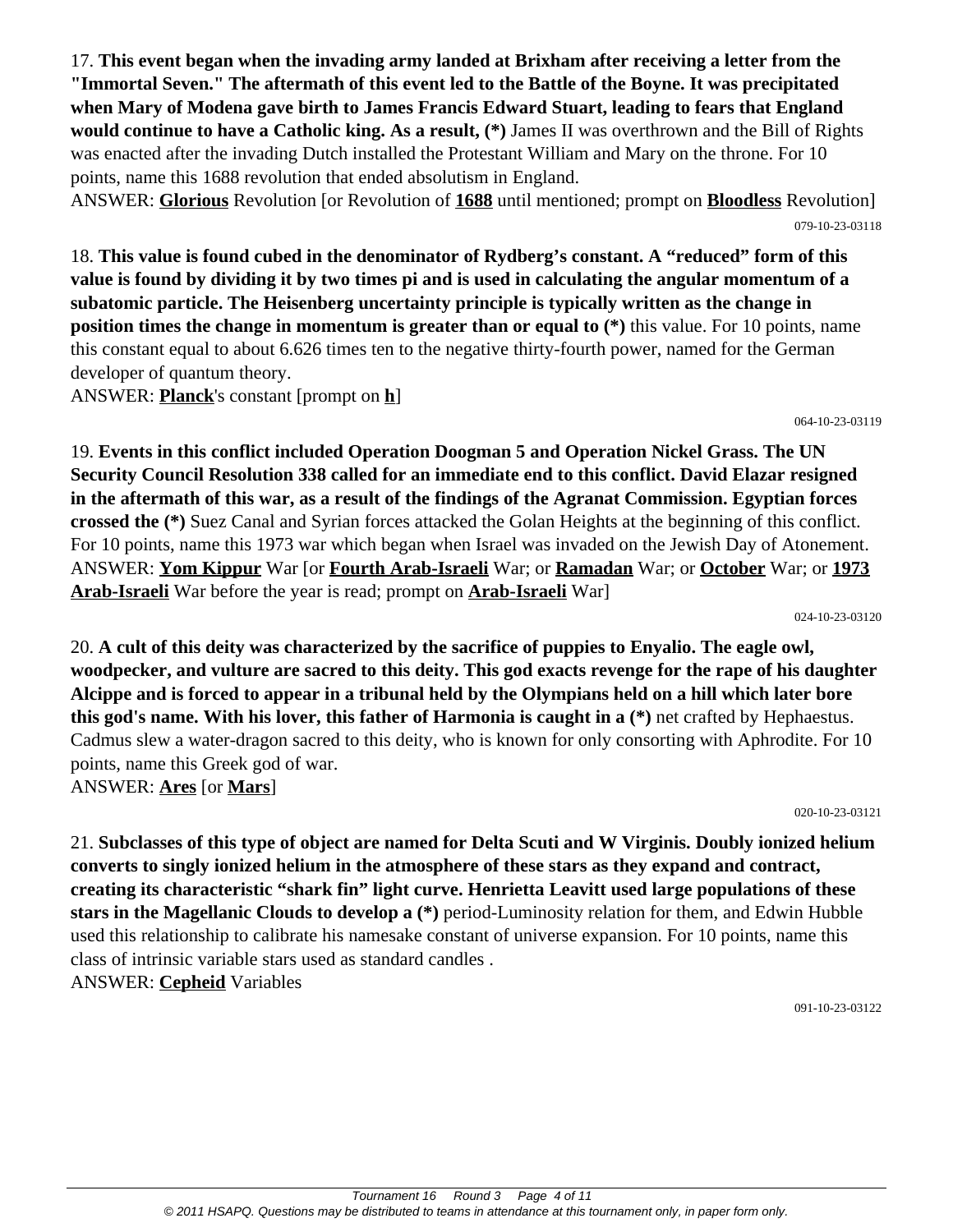17. **This event began when the invading army landed at Brixham after receiving a letter from the "Immortal Seven." The aftermath of this event led to the Battle of the Boyne. It was precipitated when Mary of Modena gave birth to James Francis Edward Stuart, leading to fears that England would continue to have a Catholic king. As a result, (\*)** James II was overthrown and the Bill of Rights was enacted after the invading Dutch installed the Protestant William and Mary on the throne. For 10 points, name this 1688 revolution that ended absolutism in England.

ANSWER: **Glorious** Revolution [or Revolution of **1688** until mentioned; prompt on **Bloodless** Revolution] 079-10-23-03118

18. **This value is found cubed in the denominator of Rydberg's constant. A "reduced" form of this value is found by dividing it by two times pi and is used in calculating the angular momentum of a subatomic particle. The Heisenberg uncertainty principle is typically written as the change in position times the change in momentum is greater than or equal to (\*)** this value. For 10 points, name this constant equal to about 6.626 times ten to the negative thirty-fourth power, named for the German developer of quantum theory.

ANSWER: **Planck**'s constant [prompt on **h**]

064-10-23-03119

19. **Events in this conflict included Operation Doogman 5 and Operation Nickel Grass. The UN Security Council Resolution 338 called for an immediate end to this conflict. David Elazar resigned in the aftermath of this war, as a result of the findings of the Agranat Commission. Egyptian forces crossed the (\*)** Suez Canal and Syrian forces attacked the Golan Heights at the beginning of this conflict. For 10 points, name this 1973 war which began when Israel was invaded on the Jewish Day of Atonement. ANSWER: **Yom Kippur** War [or **Fourth Arab-Israeli** War; or **Ramadan** War; or **October** War; or **1973 Arab-Israeli** War before the year is read; prompt on **Arab-Israeli** War]

024-10-23-03120

20. **A cult of this deity was characterized by the sacrifice of puppies to Enyalio. The eagle owl, woodpecker, and vulture are sacred to this deity. This god exacts revenge for the rape of his daughter Alcippe and is forced to appear in a tribunal held by the Olympians held on a hill which later bore this god's name. With his lover, this father of Harmonia is caught in a (\*)** net crafted by Hephaestus. Cadmus slew a water-dragon sacred to this deity, who is known for only consorting with Aphrodite. For 10 points, name this Greek god of war. ANSWER: **Ares** [or **Mars**]

020-10-23-03121

21. **Subclasses of this type of object are named for Delta Scuti and W Virginis. Doubly ionized helium converts to singly ionized helium in the atmosphere of these stars as they expand and contract, creating its characteristic "shark fin" light curve. Henrietta Leavitt used large populations of these stars in the Magellanic Clouds to develop a (\*)** period-Luminosity relation for them, and Edwin Hubble used this relationship to calibrate his namesake constant of universe expansion. For 10 points, name this class of intrinsic variable stars used as standard candles . ANSWER: **Cepheid** Variables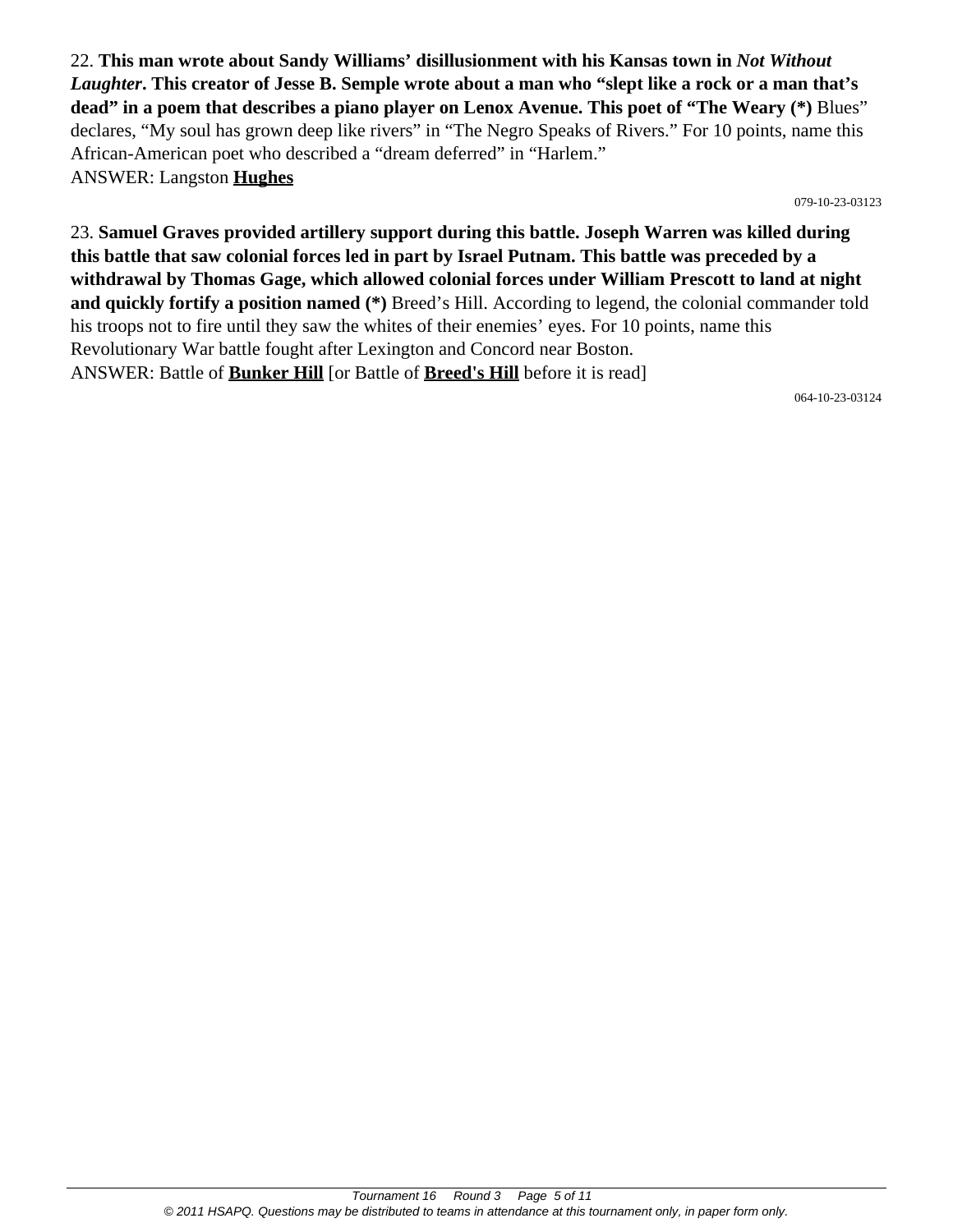22. **This man wrote about Sandy Williams' disillusionment with his Kansas town in** *Not Without Laughter***. This creator of Jesse B. Semple wrote about a man who "slept like a rock or a man that's dead" in a poem that describes a piano player on Lenox Avenue. This poet of "The Weary (\*)** Blues" declares, "My soul has grown deep like rivers" in "The Negro Speaks of Rivers." For 10 points, name this African-American poet who described a "dream deferred" in "Harlem." ANSWER: Langston **Hughes**

079-10-23-03123

23. **Samuel Graves provided artillery support during this battle. Joseph Warren was killed during this battle that saw colonial forces led in part by Israel Putnam. This battle was preceded by a withdrawal by Thomas Gage, which allowed colonial forces under William Prescott to land at night and quickly fortify a position named (\*)** Breed's Hill. According to legend, the colonial commander told his troops not to fire until they saw the whites of their enemies' eyes. For 10 points, name this Revolutionary War battle fought after Lexington and Concord near Boston. ANSWER: Battle of **Bunker Hill** [or Battle of **Breed's Hill** before it is read]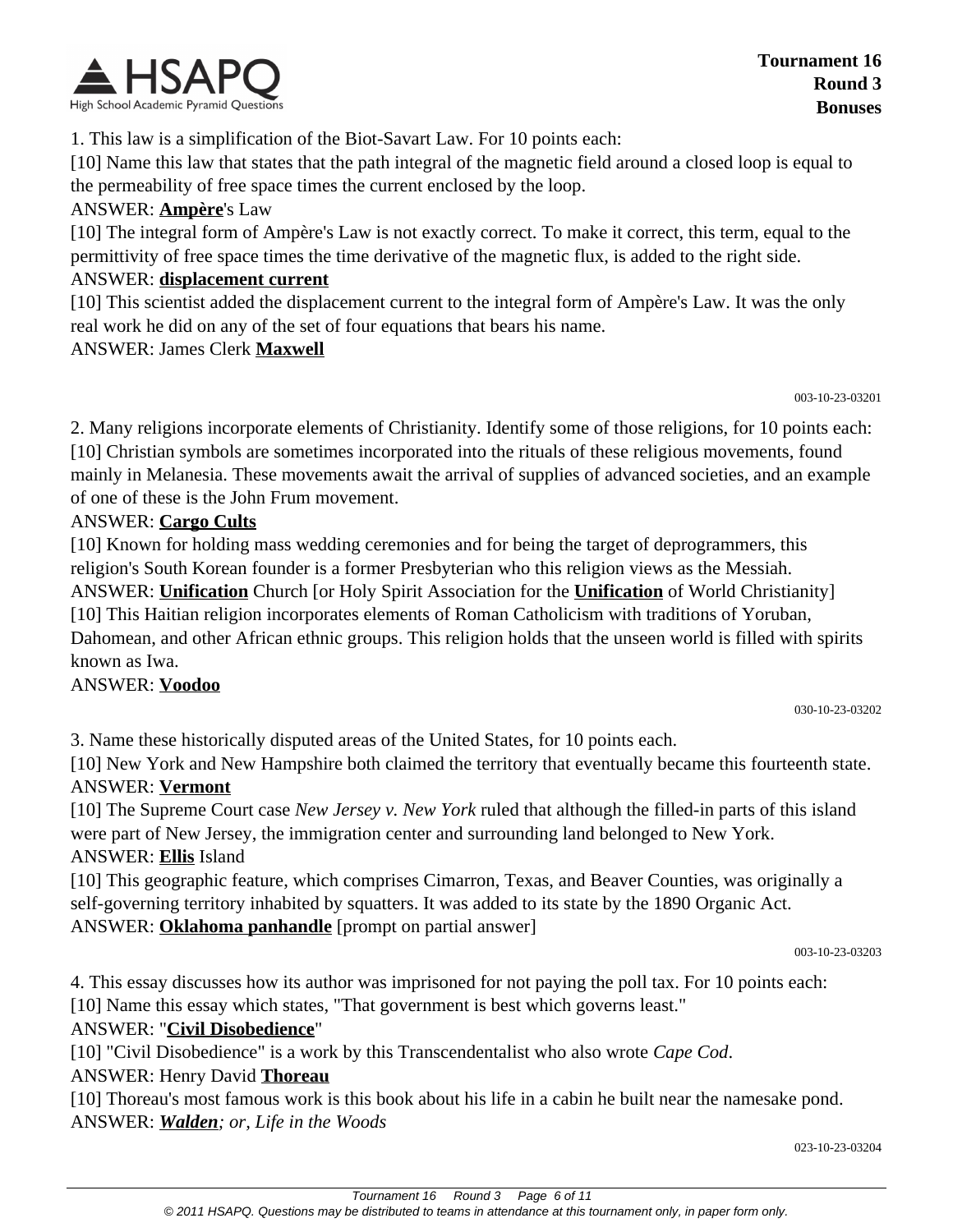

1. This law is a simplification of the Biot-Savart Law. For 10 points each:

[10] Name this law that states that the path integral of the magnetic field around a closed loop is equal to the permeability of free space times the current enclosed by the loop.

#### ANSWER: **Ampère**'s Law

[10] The integral form of Ampère's Law is not exactly correct. To make it correct, this term, equal to the permittivity of free space times the time derivative of the magnetic flux, is added to the right side.

#### ANSWER: **displacement current**

[10] This scientist added the displacement current to the integral form of Ampère's Law. It was the only real work he did on any of the set of four equations that bears his name.

#### ANSWER: James Clerk **Maxwell**

003-10-23-03201

2. Many religions incorporate elements of Christianity. Identify some of those religions, for 10 points each: [10] Christian symbols are sometimes incorporated into the rituals of these religious movements, found mainly in Melanesia. These movements await the arrival of supplies of advanced societies, and an example of one of these is the John Frum movement.

#### ANSWER: **Cargo Cults**

[10] Known for holding mass wedding ceremonies and for being the target of deprogrammers, this religion's South Korean founder is a former Presbyterian who this religion views as the Messiah. ANSWER: **Unification** Church [or Holy Spirit Association for the **Unification** of World Christianity] [10] This Haitian religion incorporates elements of Roman Catholicism with traditions of Yoruban, Dahomean, and other African ethnic groups. This religion holds that the unseen world is filled with spirits

known as Iwa. ANSWER: **Voodoo**

3. Name these historically disputed areas of the United States, for 10 points each.

[10] New York and New Hampshire both claimed the territory that eventually became this fourteenth state. ANSWER: **Vermont**

[10] The Supreme Court case *New Jersey v. New York* ruled that although the filled-in parts of this island were part of New Jersey, the immigration center and surrounding land belonged to New York. ANSWER: **Ellis** Island

[10] This geographic feature, which comprises Cimarron, Texas, and Beaver Counties, was originally a self-governing territory inhabited by squatters. It was added to its state by the 1890 Organic Act. ANSWER: **Oklahoma panhandle** [prompt on partial answer]

003-10-23-03203

030-10-23-03202

4. This essay discusses how its author was imprisoned for not paying the poll tax. For 10 points each:

[10] Name this essay which states, "That government is best which governs least."

#### ANSWER: "**Civil Disobedience**"

[10] "Civil Disobedience" is a work by this Transcendentalist who also wrote *Cape Cod*.

#### ANSWER: Henry David **Thoreau**

[10] Thoreau's most famous work is this book about his life in a cabin he built near the namesake pond. ANSWER: *Walden; or, Life in the Woods*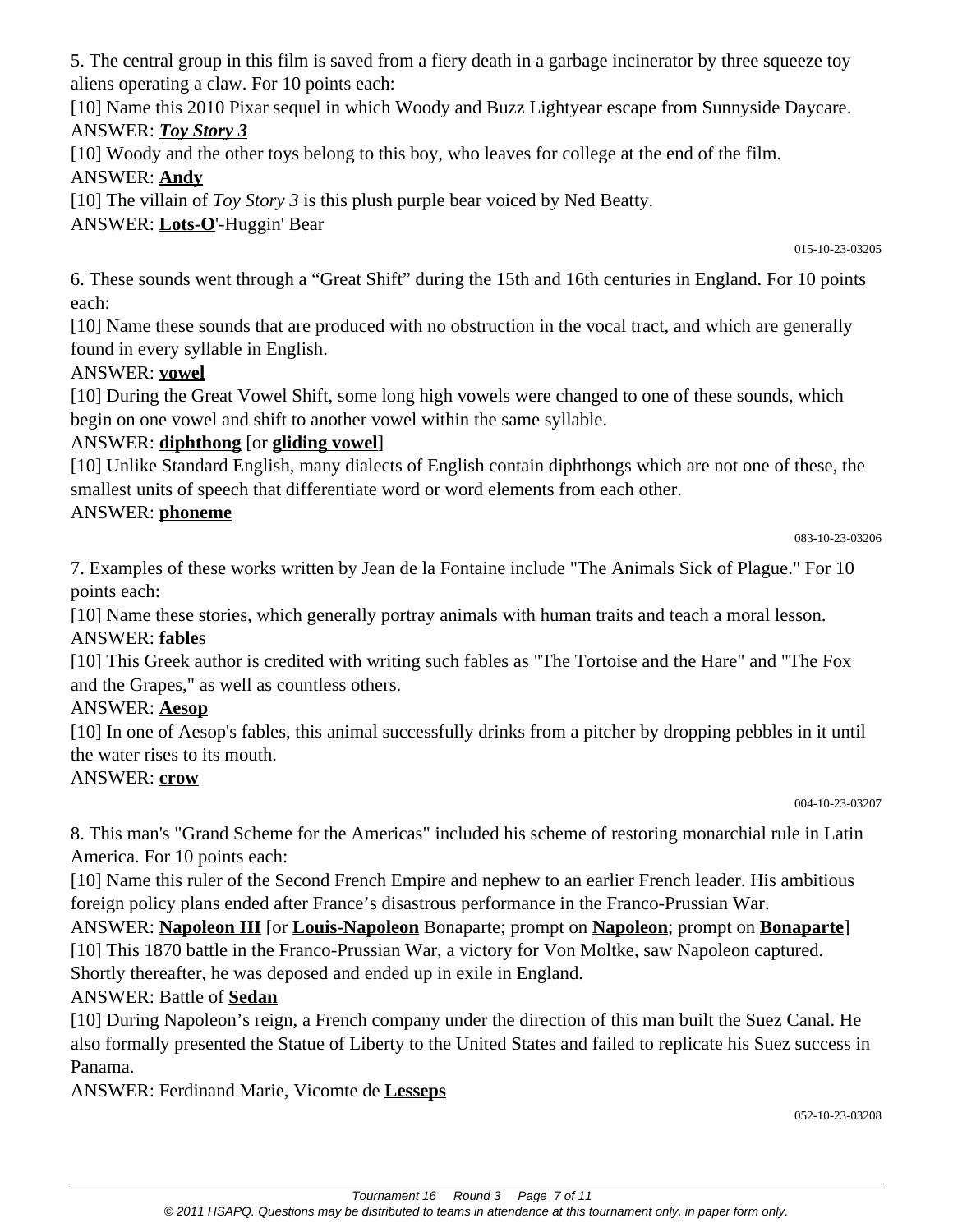5. The central group in this film is saved from a fiery death in a garbage incinerator by three squeeze toy aliens operating a claw. For 10 points each:

[10] Name this 2010 Pixar sequel in which Woody and Buzz Lightyear escape from Sunnyside Daycare. ANSWER: *Toy Story 3*

[10] Woody and the other toys belong to this boy, who leaves for college at the end of the film. ANSWER: **Andy**

[10] The villain of *Toy Story 3* is this plush purple bear voiced by Ned Beatty.

ANSWER: **Lots-O**'-Huggin' Bear

015-10-23-03205

6. These sounds went through a "Great Shift" during the 15th and 16th centuries in England. For 10 points each:

[10] Name these sounds that are produced with no obstruction in the vocal tract, and which are generally found in every syllable in English.

## ANSWER: **vowel**

[10] During the Great Vowel Shift, some long high vowels were changed to one of these sounds, which begin on one vowel and shift to another vowel within the same syllable.

## ANSWER: **diphthong** [or **gliding vowel**]

[10] Unlike Standard English, many dialects of English contain diphthongs which are not one of these, the smallest units of speech that differentiate word or word elements from each other.

### ANSWER: **phoneme**

083-10-23-03206

7. Examples of these works written by Jean de la Fontaine include "The Animals Sick of Plague." For 10 points each:

[10] Name these stories, which generally portray animals with human traits and teach a moral lesson. ANSWER: **fable**s

[10] This Greek author is credited with writing such fables as "The Tortoise and the Hare" and "The Fox and the Grapes," as well as countless others.

## ANSWER: **Aesop**

[10] In one of Aesop's fables, this animal successfully drinks from a pitcher by dropping pebbles in it until the water rises to its mouth.

## ANSWER: **crow**

004-10-23-03207

8. This man's "Grand Scheme for the Americas" included his scheme of restoring monarchial rule in Latin America. For 10 points each:

[10] Name this ruler of the Second French Empire and nephew to an earlier French leader. His ambitious foreign policy plans ended after France's disastrous performance in the Franco-Prussian War.

ANSWER: **Napoleon III** [or **Louis-Napoleon** Bonaparte; prompt on **Napoleon**; prompt on **Bonaparte**] [10] This 1870 battle in the Franco-Prussian War, a victory for Von Moltke, saw Napoleon captured. Shortly thereafter, he was deposed and ended up in exile in England.

# ANSWER: Battle of **Sedan**

[10] During Napoleon's reign, a French company under the direction of this man built the Suez Canal. He also formally presented the Statue of Liberty to the United States and failed to replicate his Suez success in Panama.

ANSWER: Ferdinand Marie, Vicomte de **Lesseps**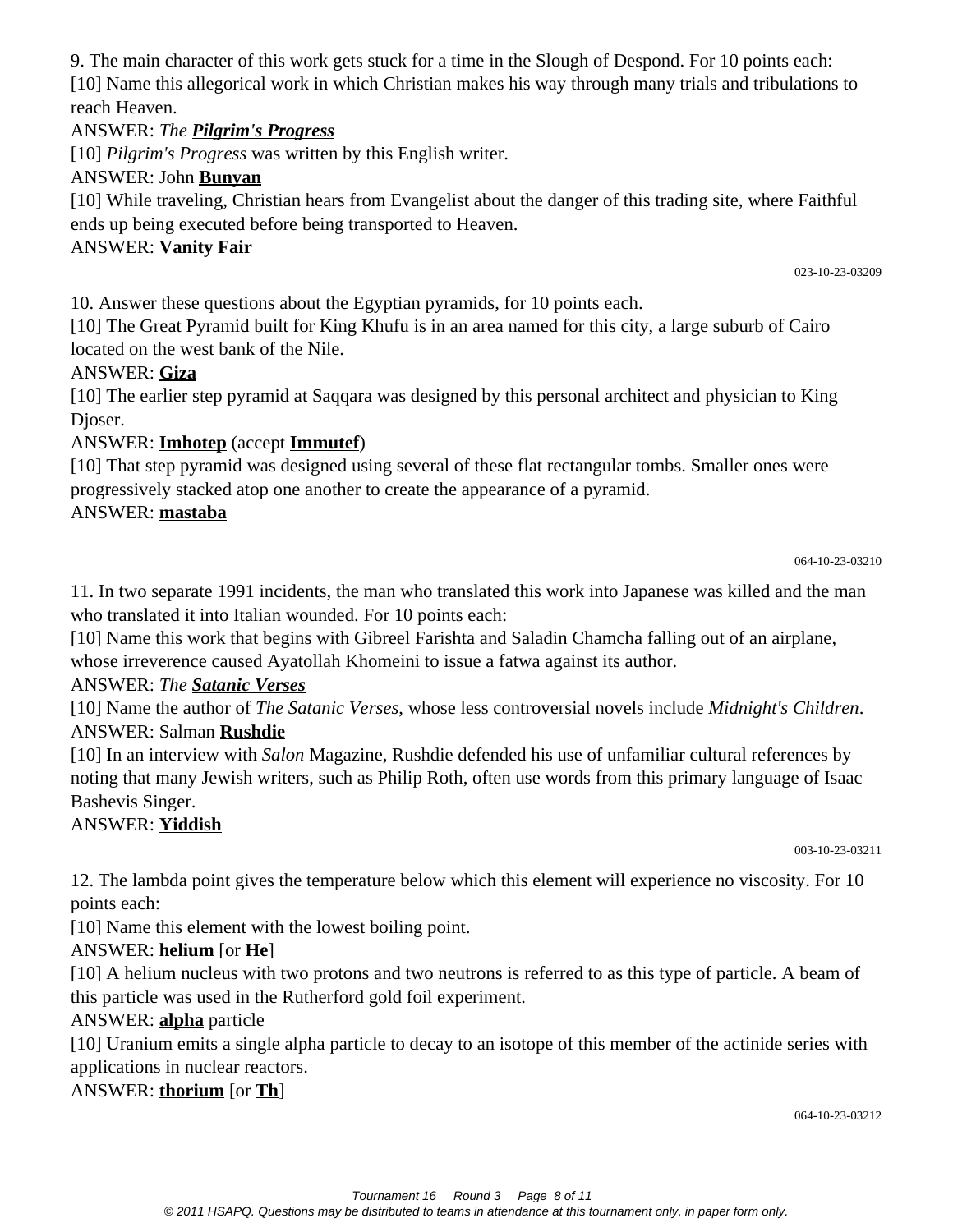9. The main character of this work gets stuck for a time in the Slough of Despond. For 10 points each: [10] Name this allegorical work in which Christian makes his way through many trials and tribulations to reach Heaven.

### ANSWER: *The Pilgrim's Progress*

[10] *Pilgrim's Progress* was written by this English writer.

### ANSWER: John **Bunyan**

[10] While traveling, Christian hears from Evangelist about the danger of this trading site, where Faithful ends up being executed before being transported to Heaven.

### ANSWER: **Vanity Fair**

023-10-23-03209

10. Answer these questions about the Egyptian pyramids, for 10 points each.

[10] The Great Pyramid built for King Khufu is in an area named for this city, a large suburb of Cairo located on the west bank of the Nile.

### ANSWER: **Giza**

[10] The earlier step pyramid at Saqqara was designed by this personal architect and physician to King Djoser.

## ANSWER: **Imhotep** (accept **Immutef**)

[10] That step pyramid was designed using several of these flat rectangular tombs. Smaller ones were progressively stacked atop one another to create the appearance of a pyramid.

### ANSWER: **mastaba**

11. In two separate 1991 incidents, the man who translated this work into Japanese was killed and the man who translated it into Italian wounded. For 10 points each:

[10] Name this work that begins with Gibreel Farishta and Saladin Chamcha falling out of an airplane, whose irreverence caused Ayatollah Khomeini to issue a fatwa against its author.

## ANSWER: *The Satanic Verses*

[10] Name the author of *The Satanic Verses*, whose less controversial novels include *Midnight's Children*. ANSWER: Salman **Rushdie**

[10] In an interview with *Salon* Magazine, Rushdie defended his use of unfamiliar cultural references by noting that many Jewish writers, such as Philip Roth, often use words from this primary language of Isaac Bashevis Singer.

## ANSWER: **Yiddish**

003-10-23-03211

12. The lambda point gives the temperature below which this element will experience no viscosity. For 10 points each:

[10] Name this element with the lowest boiling point.

## ANSWER: **helium** [or **He**]

[10] A helium nucleus with two protons and two neutrons is referred to as this type of particle. A beam of this particle was used in the Rutherford gold foil experiment.

## ANSWER: **alpha** particle

[10] Uranium emits a single alpha particle to decay to an isotope of this member of the actinide series with applications in nuclear reactors.

#### ANSWER: **thorium** [or **Th**]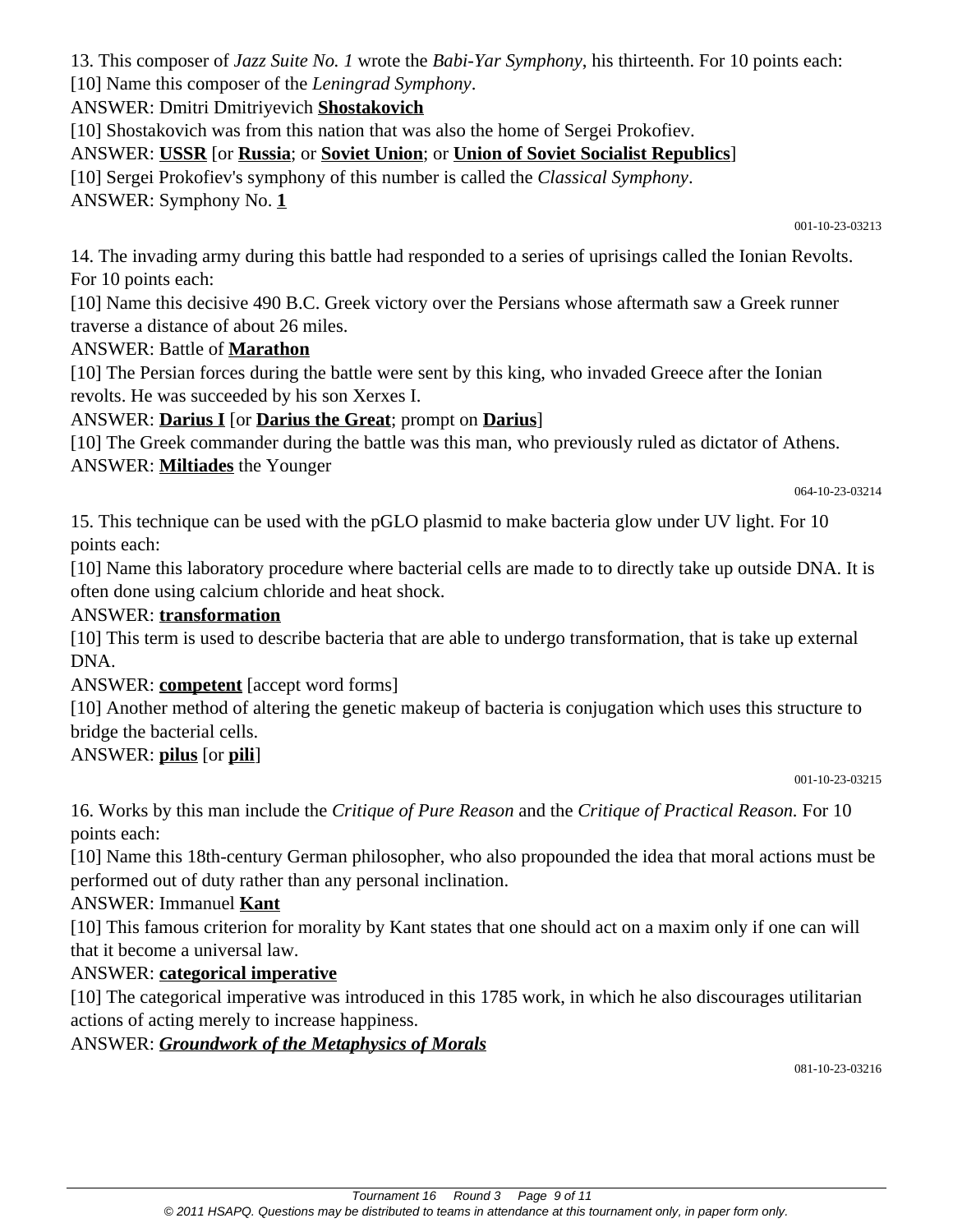13. This composer of *Jazz Suite No. 1* wrote the *Babi-Yar Symphony*, his thirteenth. For 10 points each:

[10] Name this composer of the *Leningrad Symphony*.

ANSWER: Dmitri Dmitriyevich **Shostakovich**

[10] Shostakovich was from this nation that was also the home of Sergei Prokofiev.

ANSWER: **USSR** [or **Russia**; or **Soviet Union**; or **Union of Soviet Socialist Republics**]

[10] Sergei Prokofiev's symphony of this number is called the *Classical Symphony*.

ANSWER: Symphony No. **1**

001-10-23-03213

14. The invading army during this battle had responded to a series of uprisings called the Ionian Revolts. For 10 points each:

[10] Name this decisive 490 B.C. Greek victory over the Persians whose aftermath saw a Greek runner traverse a distance of about 26 miles.

#### ANSWER: Battle of **Marathon**

[10] The Persian forces during the battle were sent by this king, who invaded Greece after the Ionian revolts. He was succeeded by his son Xerxes I.

### ANSWER: **Darius I** [or **Darius the Great**; prompt on **Darius**]

[10] The Greek commander during the battle was this man, who previously ruled as dictator of Athens. ANSWER: **Miltiades** the Younger

064-10-23-03214

15. This technique can be used with the pGLO plasmid to make bacteria glow under UV light. For 10 points each:

[10] Name this laboratory procedure where bacterial cells are made to to directly take up outside DNA. It is often done using calcium chloride and heat shock.

### ANSWER: **transformation**

[10] This term is used to describe bacteria that are able to undergo transformation, that is take up external DNA.

#### ANSWER: **competent** [accept word forms]

[10] Another method of altering the genetic makeup of bacteria is conjugation which uses this structure to bridge the bacterial cells.

## ANSWER: **pilus** [or **pili**]

001-10-23-03215

16. Works by this man include the *Critique of Pure Reason* and the *Critique of Practical Reason.* For 10 points each:

[10] Name this 18th-century German philosopher, who also propounded the idea that moral actions must be performed out of duty rather than any personal inclination.

#### ANSWER: Immanuel **Kant**

[10] This famous criterion for morality by Kant states that one should act on a maxim only if one can will that it become a universal law.

#### ANSWER: **categorical imperative**

[10] The categorical imperative was introduced in this 1785 work, in which he also discourages utilitarian actions of acting merely to increase happiness.

ANSWER: *Groundwork of the Metaphysics of Morals*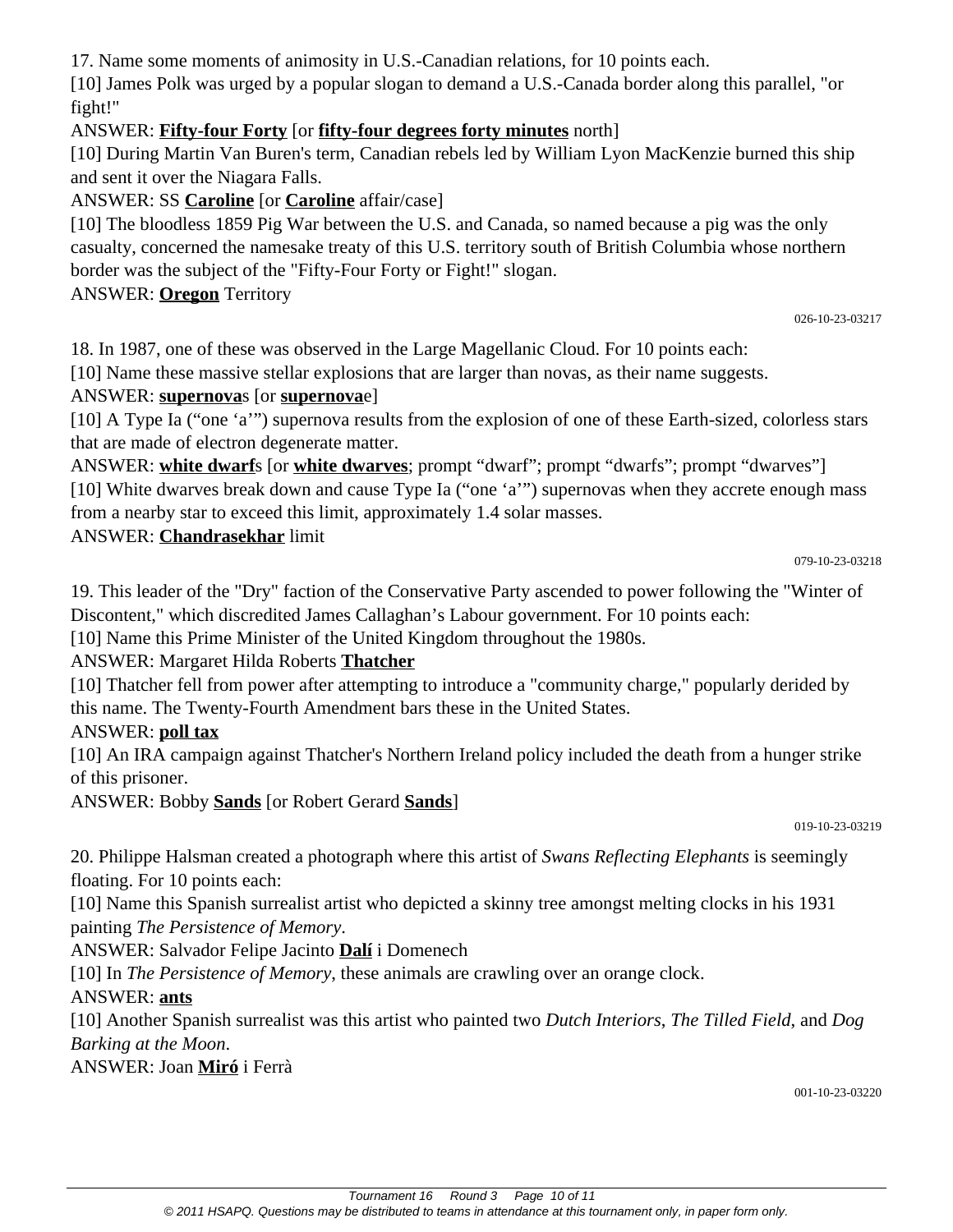17. Name some moments of animosity in U.S.-Canadian relations, for 10 points each.

[10] James Polk was urged by a popular slogan to demand a U.S.-Canada border along this parallel, "or fight!"

# ANSWER: **Fifty-four Forty** [or **fifty-four degrees forty minutes** north]

[10] During Martin Van Buren's term, Canadian rebels led by William Lyon MacKenzie burned this ship and sent it over the Niagara Falls.

# ANSWER: SS **Caroline** [or **Caroline** affair/case]

[10] The bloodless 1859 Pig War between the U.S. and Canada, so named because a pig was the only casualty, concerned the namesake treaty of this U.S. territory south of British Columbia whose northern border was the subject of the "Fifty-Four Forty or Fight!" slogan.

ANSWER: **Oregon** Territory

026-10-23-03217

18. In 1987, one of these was observed in the Large Magellanic Cloud. For 10 points each:

[10] Name these massive stellar explosions that are larger than novas, as their name suggests.

# ANSWER: **supernova**s [or **supernova**e]

[10] A Type Ia ("one 'a'") supernova results from the explosion of one of these Earth-sized, colorless stars that are made of electron degenerate matter.

ANSWER: **white dwarf**s [or **white dwarves**; prompt "dwarf"; prompt "dwarfs"; prompt "dwarves"] [10] White dwarves break down and cause Type Ia ("one 'a'") supernovas when they accrete enough mass from a nearby star to exceed this limit, approximately 1.4 solar masses.

### ANSWER: **Chandrasekhar** limit

079-10-23-03218

19. This leader of the "Dry" faction of the Conservative Party ascended to power following the "Winter of Discontent," which discredited James Callaghan's Labour government. For 10 points each:

[10] Name this Prime Minister of the United Kingdom throughout the 1980s.

# ANSWER: Margaret Hilda Roberts **Thatcher**

[10] Thatcher fell from power after attempting to introduce a "community charge," popularly derided by this name. The Twenty-Fourth Amendment bars these in the United States.

## ANSWER: **poll tax**

[10] An IRA campaign against Thatcher's Northern Ireland policy included the death from a hunger strike of this prisoner.

ANSWER: Bobby **Sands** [or Robert Gerard **Sands**]

019-10-23-03219

20. Philippe Halsman created a photograph where this artist of *Swans Reflecting Elephants* is seemingly floating. For 10 points each:

[10] Name this Spanish surrealist artist who depicted a skinny tree amongst melting clocks in his 1931 painting *The Persistence of Memory*.

ANSWER: Salvador Felipe Jacinto **Dalí** i Domenech

[10] In *The Persistence of Memory*, these animals are crawling over an orange clock.

ANSWER: **ants**

[10] Another Spanish surrealist was this artist who painted two *Dutch Interiors*, *The Tilled Field*, and *Dog Barking at the Moon*.

ANSWER: Joan **Miró** i Ferrà